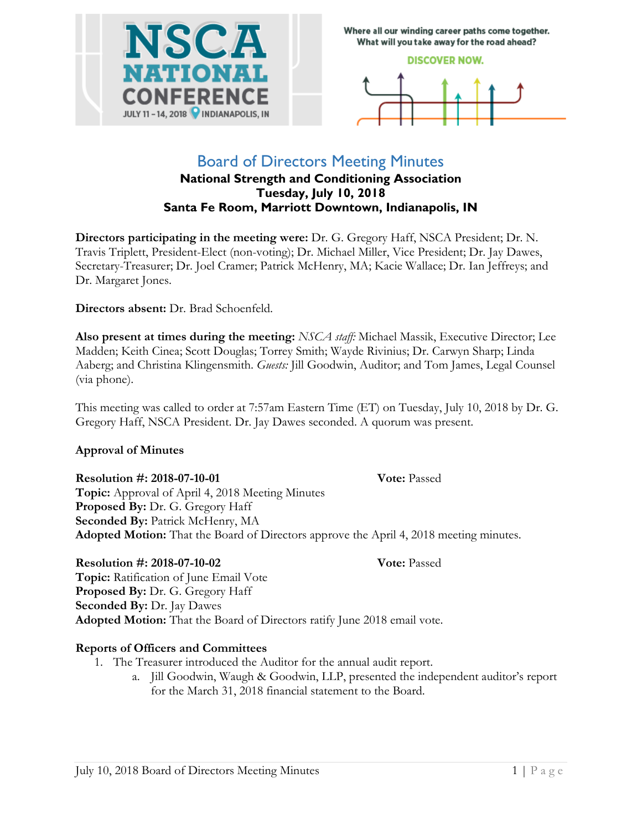

Where all our winding career paths come together. What will you take away for the road ahead?

### **DISCOVER NOW.**



## Board of Directors Meeting Minutes **National Strength and Conditioning Association Tuesday, July 10, 2018**

**Santa Fe Room, Marriott Downtown, Indianapolis, IN**

**Directors participating in the meeting were:** Dr. G. Gregory Haff, NSCA President; Dr. N. Travis Triplett, President-Elect (non-voting); Dr. Michael Miller, Vice President; Dr. Jay Dawes, Secretary-Treasurer; Dr. Joel Cramer; Patrick McHenry, MA; Kacie Wallace; Dr. Ian Jeffreys; and Dr. Margaret Jones.

**Directors absent:** Dr. Brad Schoenfeld.

**Also present at times during the meeting:** *NSCA staff:* Michael Massik, Executive Director; Lee Madden; Keith Cinea; Scott Douglas; Torrey Smith; Wayde Rivinius; Dr. Carwyn Sharp; Linda Aaberg; and Christina Klingensmith. *Guests:* Jill Goodwin, Auditor; and Tom James, Legal Counsel (via phone).

This meeting was called to order at 7:57am Eastern Time (ET) on Tuesday, July 10, 2018 by Dr. G. Gregory Haff, NSCA President. Dr. Jay Dawes seconded. A quorum was present.

## **Approval of Minutes**

## **Resolution #: 2018-07-10-01** Vote: Passed

**Topic:** Approval of April 4, 2018 Meeting Minutes **Proposed By:** Dr. G. Gregory Haff **Seconded By:** Patrick McHenry, MA **Adopted Motion:** That the Board of Directors approve the April 4, 2018 meeting minutes.

## **Resolution #: 2018-07-10-02 Vote:** Passed

**Topic:** Ratification of June Email Vote **Proposed By:** Dr. G. Gregory Haff **Seconded By: Dr. Jay Dawes Adopted Motion:** That the Board of Directors ratify June 2018 email vote.

## **Reports of Officers and Committees**

- 1. The Treasurer introduced the Auditor for the annual audit report.
	- a. Jill Goodwin, Waugh & Goodwin, LLP, presented the independent auditor's report for the March 31, 2018 financial statement to the Board.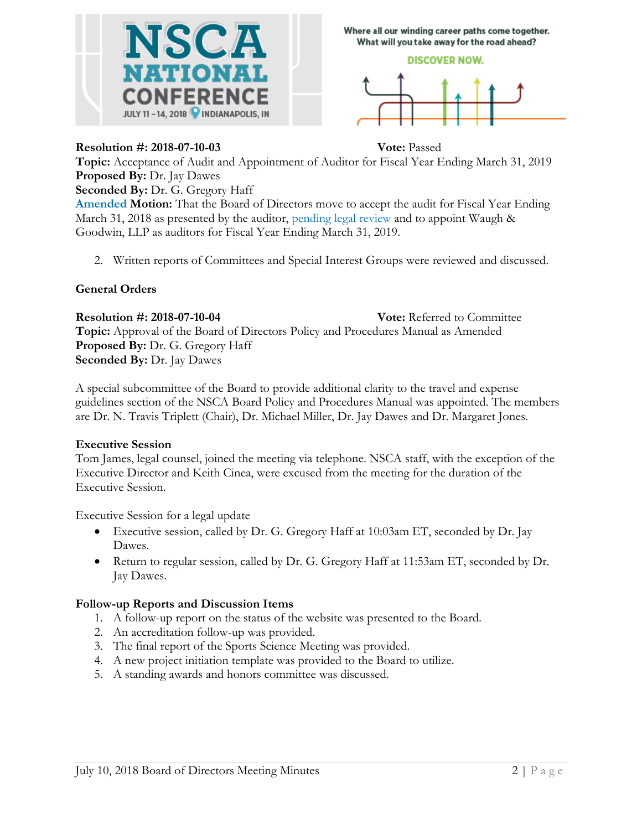

Where all our winding career paths come together. What will you take away for the road ahead?

## **DISCOVER NOW.**



## **Resolution #: 2018-07-10-03 Vote:** Passed

**Topic:** Acceptance of Audit and Appointment of Auditor for Fiscal Year Ending March 31, 2019 **Proposed By:** Dr. Jay Dawes

**Seconded By:** Dr. G. Gregory Haff

**Amended Motion:** That the Board of Directors move to accept the audit for Fiscal Year Ending March 31, 2018 as presented by the auditor, pending legal review and to appoint Waugh & Goodwin, LLP as auditors for Fiscal Year Ending March 31, 2019.

2. Written reports of Committees and Special Interest Groups were reviewed and discussed.

## **General Orders**

**Resolution #: 2018-07-10-04 Vote:** Referred to Committee **Topic:** Approval of the Board of Directors Policy and Procedures Manual as Amended **Proposed By:** Dr. G. Gregory Haff **Seconded By:** Dr. Jay Dawes

A special subcommittee of the Board to provide additional clarity to the travel and expense guidelines section of the NSCA Board Policy and Procedures Manual was appointed. The members are Dr. N. Travis Triplett (Chair), Dr. Michael Miller, Dr. Jay Dawes and Dr. Margaret Jones.

## **Executive Session**

Tom James, legal counsel, joined the meeting via telephone. NSCA staff, with the exception of the Executive Director and Keith Cinea, were excused from the meeting for the duration of the Executive Session.

Executive Session for a legal update

- Executive session, called by Dr. G. Gregory Haff at 10:03am ET, seconded by Dr. Jay Dawes.
- Return to regular session, called by Dr. G. Gregory Haff at 11:53am ET, seconded by Dr. Jay Dawes.

## **Follow-up Reports and Discussion Items**

- 1. A follow-up report on the status of the website was presented to the Board.
- 2. An accreditation follow-up was provided.
- 3. The final report of the Sports Science Meeting was provided.
- 4. A new project initiation template was provided to the Board to utilize.
- 5. A standing awards and honors committee was discussed.